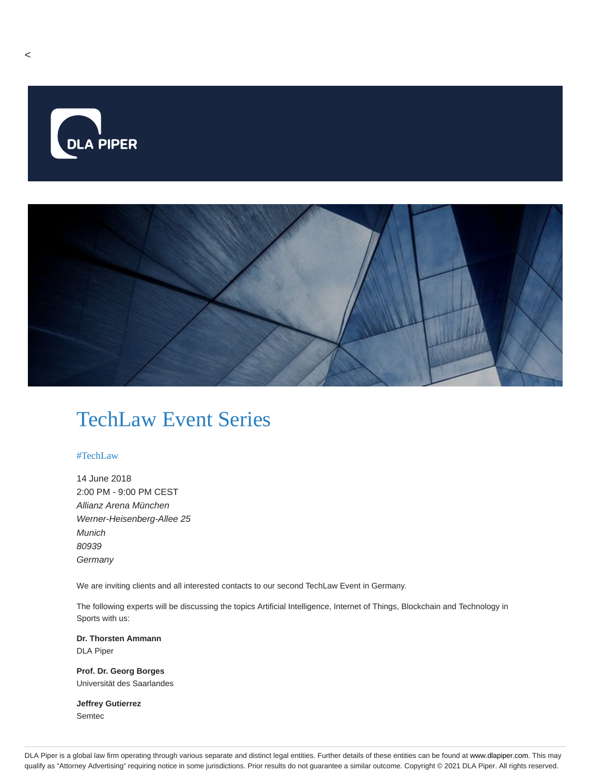

## TechLaw Event Series

## #TechLaw

14 June 2018 2:00 PM - 9:00 PM CEST Allianz Arena München Werner-Heisenberg-Allee 25 Munich 80939 **Germany** 

We are inviting clients and all interested contacts to our second TechLaw Event in Germany.

The following experts will be discussing the topics Artificial Intelligence, Internet of Things, Blockchain and Technology in Sports with us:

**Dr. Thorsten Ammann** DLA Piper

**Prof. Dr. Georg Borges** Universität des Saarlandes

**Jeffrey Gutierrez** Semtec